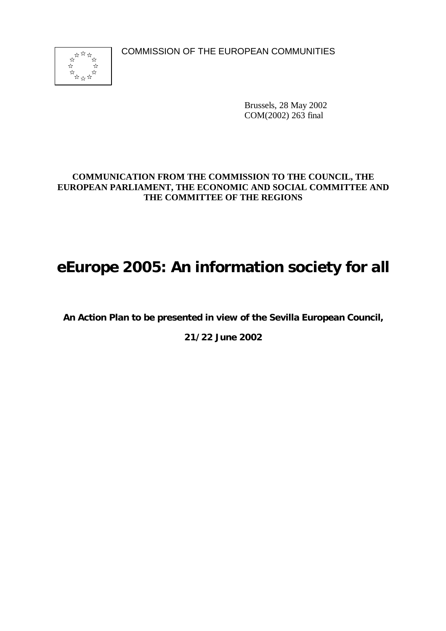COMMISSION OF THE EUROPEAN COMMUNITIES



Brussels, 28 May 2002 COM(2002) 263 final

# **COMMUNICATION FROM THE COMMISSION TO THE COUNCIL, THE EUROPEAN PARLIAMENT, THE ECONOMIC AND SOCIAL COMMITTEE AND THE COMMITTEE OF THE REGIONS**

# *e***Europe 2005: An information society for all**

**An Action Plan to be presented in view of the Sevilla European Council,**

**21/22 June 2002**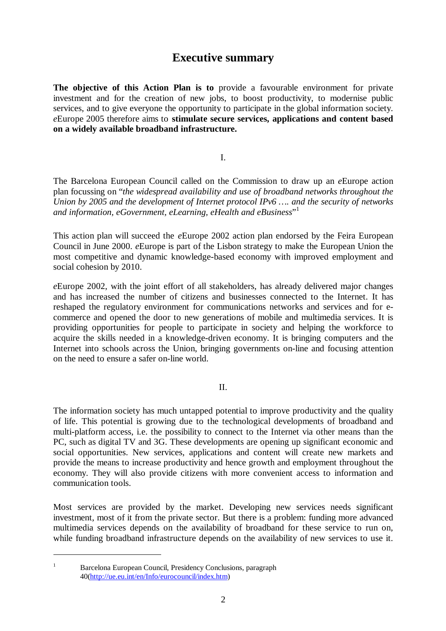# **Executive summary**

**The objective of this Action Plan is to** provide a favourable environment for private investment and for the creation of new jobs, to boost productivity, to modernise public services, and to give everyone the opportunity to participate in the global information society. *e*Europe 2005 therefore aims to **stimulate secure services, applications and content based on a widely available broadband infrastructure.**

I.

The Barcelona European Council called on the Commission to draw up an *e*Europe action plan focussing on "*the widespread availability and use of broadband networks throughout the Union by 2005 and the development of Internet protocol IPv6 … . and the security of networks and information, eGovernment, eLearning, eHealth and eBusiness*" 1

This action plan will succeed the *e*Europe 2002 action plan endorsed by the Feira European Council in June 2000. *e*Europe is part of the Lisbon strategy to make the European Union the most competitive and dynamic knowledge-based economy with improved employment and social cohesion by 2010.

*e*Europe 2002, with the joint effort of all stakeholders, has already delivered major changes and has increased the number of citizens and businesses connected to the Internet. It has reshaped the regulatory environment for communications networks and services and for ecommerce and opened the door to new generations of mobile and multimedia services. It is providing opportunities for people to participate in society and helping the workforce to acquire the skills needed in a knowledge-driven economy. It is bringing computers and the Internet into schools across the Union, bringing governments on-line and focusing attention on the need to ensure a safer on-line world.

II.

The information society has much untapped potential to improve productivity and the quality of life. This potential is growing due to the technological developments of broadband and multi-platform access, i.e. the possibility to connect to the Internet via other means than the PC, such as digital TV and 3G. These developments are opening up significant economic and social opportunities. New services, applications and content will create new markets and provide the means to increase productivity and hence growth and employment throughout the economy. They will also provide citizens with more convenient access to information and communication tools.

Most services are provided by the market. Developing new services needs significant investment, most of it from the private sector. But there is a problem: funding more advanced multimedia services depends on the availability of broadband for these service to run on, while funding broadband infrastructure depends on the availability of new services to use it.

<sup>&</sup>lt;sup>1</sup> Barcelona European Council, Presidency Conclusions, paragraph 40(http://ue.eu.int/en/Info/eurocouncil/index.htm)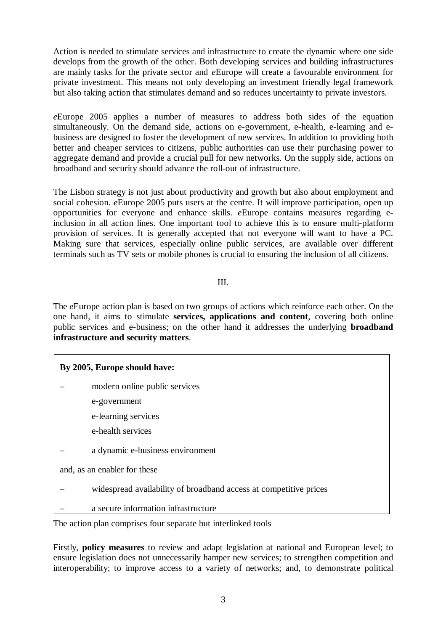Action is needed to stimulate services and infrastructure to create the dynamic where one side develops from the growth of the other. Both developing services and building infrastructures are mainly tasks for the private sector and *e*Europe will create a favourable environment for private investment. This means not only developing an investment friendly legal framework but also taking action that stimulates demand and so reduces uncertainty to private investors.

*e*Europe 2005 applies a number of measures to address both sides of the equation simultaneously. On the demand side, actions on e-government, e-health, e-learning and ebusiness are designed to foster the development of new services. In addition to providing both better and cheaper services to citizens, public authorities can use their purchasing power to aggregate demand and provide a crucial pull for new networks. On the supply side, actions on broadband and security should advance the roll-out of infrastructure.

The Lisbon strategy is not just about productivity and growth but also about employment and social cohesion. *e*Europe 2005 puts users at the centre. It will improve participation, open up opportunities for everyone and enhance skills. *e*Europe contains measures regarding einclusion in all action lines. One important tool to achieve this is to ensure multi-platform provision of services. It is generally accepted that not everyone will want to have a PC. Making sure that services, especially online public services, are available over different terminals such as TV sets or mobile phones is crucial to ensuring the inclusion of all citizens.

#### III.

The *e*Europe action plan is based on two groups of actions which reinforce each other. On the one hand, it aims to stimulate **services, applications and content**, covering both online public services and e-business; on the other hand it addresses the underlying **broadband infrastructure and security matters**.

| By 2005, Europe should have: |                                                                   |  |
|------------------------------|-------------------------------------------------------------------|--|
|                              | modern online public services                                     |  |
|                              | e-government                                                      |  |
|                              | e-learning services                                               |  |
|                              | e-health services                                                 |  |
|                              | a dynamic e-business environment                                  |  |
| and, as an enabler for these |                                                                   |  |
|                              | widespread availability of broadband access at competitive prices |  |
|                              | a secure information infrastructure                               |  |

The action plan comprises four separate but interlinked tools

Firstly, **policy measures** to review and adapt legislation at national and European level; to ensure legislation does not unnecessarily hamper new services; to strengthen competition and interoperability; to improve access to a variety of networks; and, to demonstrate political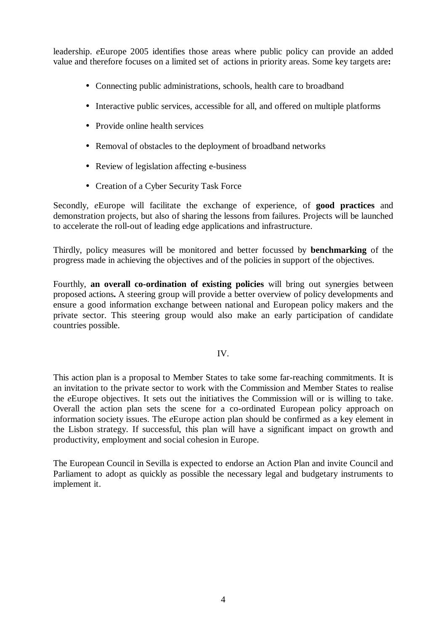leadership. *e*Europe 2005 identifies those areas where public policy can provide an added value and therefore focuses on a limited set of actions in priority areas. Some key targets are**:**

- Connecting public administrations, schools, health care to broadband
- Interactive public services, accessible for all, and offered on multiple platforms
- Provide online health services
- Removal of obstacles to the deployment of broadband networks
- Review of legislation affecting e-business
- Creation of a Cyber Security Task Force

Secondly, *e*Europe will facilitate the exchange of experience, of **good practices** and demonstration projects, but also of sharing the lessons from failures. Projects will be launched to accelerate the roll-out of leading edge applications and infrastructure.

Thirdly, policy measures will be monitored and better focussed by **benchmarking** of the progress made in achieving the objectives and of the policies in support of the objectives.

Fourthly, **an overall co-ordination of existing policies** will bring out synergies between proposed actions**.** A steering group will provide a better overview of policy developments and ensure a good information exchange between national and European policy makers and the private sector. This steering group would also make an early participation of candidate countries possible.

#### IV.

This action plan is a proposal to Member States to take some far-reaching commitments. It is an invitation to the private sector to work with the Commission and Member States to realise the *e*Europe objectives. It sets out the initiatives the Commission will or is willing to take. Overall the action plan sets the scene for a co-ordinated European policy approach on information society issues. The *e*Europe action plan should be confirmed as a key element in the Lisbon strategy. If successful, this plan will have a significant impact on growth and productivity, employment and social cohesion in Europe.

The European Council in Sevilla is expected to endorse an Action Plan and invite Council and Parliament to adopt as quickly as possible the necessary legal and budgetary instruments to implement it.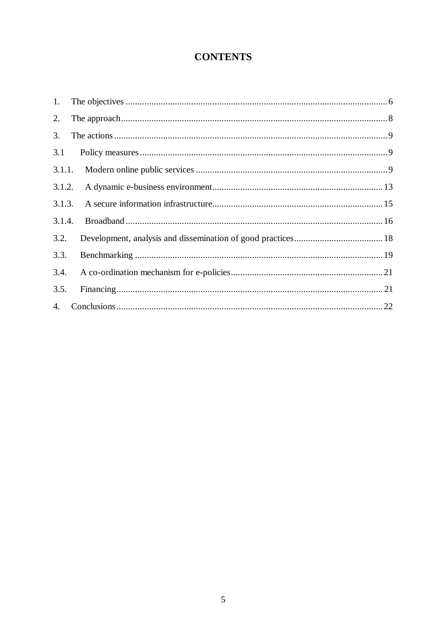# **CONTENTS**

| 1.               |  |
|------------------|--|
| 2.               |  |
| 3.               |  |
| 3.1              |  |
| 3.1.1.           |  |
| 3.1.2.           |  |
| 3.1.3.           |  |
| 3.1.4.           |  |
| 3.2.             |  |
| 3.3.             |  |
| 3.4.             |  |
| 3.5.             |  |
| $\overline{4}$ . |  |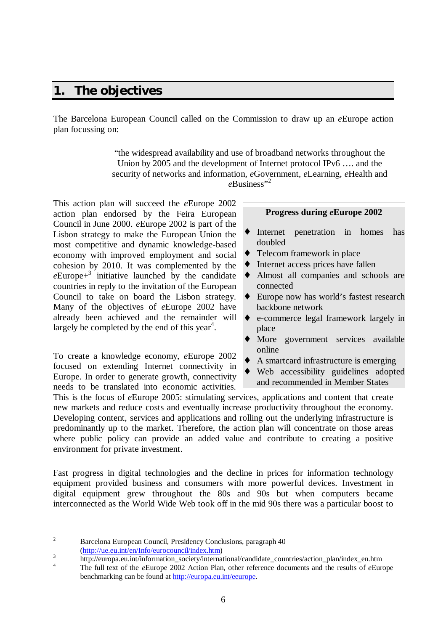# **1. The objectives**

The Barcelona European Council called on the Commission to draw up an *e*Europe action plan focussing on:

> "the widespread availability and use of broadband networks throughout the Union by 2005 and the development of Internet protocol IPv6 … . and the security of networks and information, *e*Government, *e*Learning, *e*Health and eBusiness"<sup>2</sup>

This action plan will succeed the *e*Europe 2002 action plan endorsed by the Feira European Council in June 2000. *e*Europe 2002 is part of the Lisbon strategy to make the European Union the most competitive and dynamic knowledge-based economy with improved employment and social cohesion by 2010. It was complemented by the  $e^{\text{European}+3}$  initiative launched by the candidate countries in reply to the invitation of the European Council to take on board the Lisbon strategy. Many of the objectives of *e*Europe 2002 have already been achieved and the remainder will largely be completed by the end of this year<sup>4</sup>.

To create a knowledge economy, *e*Europe 2002 focused on extending Internet connectivity in Europe. In order to generate growth, connectivity needs to be translated into economic activities.

#### **Progress during** *e***Europe 2002**

- Internet penetration in homes has doubled
- Telecom framework in place
- Internet access prices have fallen
- Almost all companies and schools are connected
- Europe now has world's fastest research backbone network
- ♦ e-commerce legal framework largely in place
- ♦ More government services available online
- A smartcard infrastructure is emerging
- Web accessibility guidelines adopted and recommended in Member States

This is the focus of *e*Europe 2005: stimulating services, applications and content that create new markets and reduce costs and eventually increase productivity throughout the economy. Developing content, services and applications and rolling out the underlying infrastructure is predominantly up to the market. Therefore, the action plan will concentrate on those areas where public policy can provide an added value and contribute to creating a positive environment for private investment.

Fast progress in digital technologies and the decline in prices for information technology equipment provided business and consumers with more powerful devices. Investment in digital equipment grew throughout the 80s and 90s but when computers became interconnected as the World Wide Web took off in the mid 90s there was a particular boost to

<sup>&</sup>lt;sup>2</sup> Barcelona European Council, Presidency Conclusions, paragraph 40

<sup>(</sup>http://ue.eu.int/en/Info/eurocouncil/index.htm) 3

http://europa.eu.int/information\_society/international/candidate\_countries/action\_plan/index\_en.htm

<sup>&</sup>lt;sup>4</sup> The full text of the *e*Europe 2002 Action Plan, other reference documents and the results of *eEurope* benchmarking can be found at http://europa.eu.int/eeurope.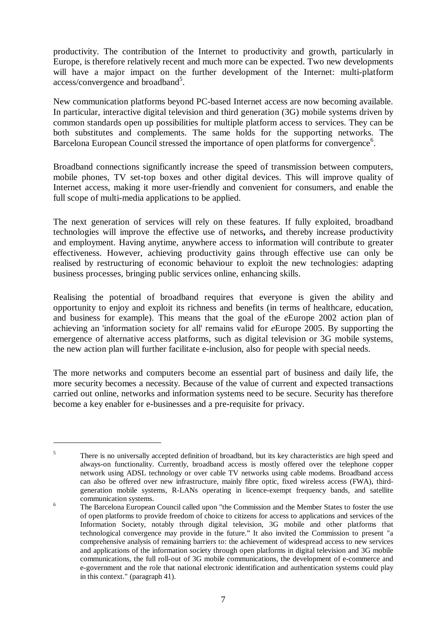productivity. The contribution of the Internet to productivity and growth, particularly in Europe, is therefore relatively recent and much more can be expected. Two new developments will have a major impact on the further development of the Internet: multi-platform access/convergence and broadband<sup>5</sup>.

New communication platforms beyond PC-based Internet access are now becoming available. In particular, interactive digital television and third generation (3G) mobile systems driven by common standards open up possibilities for multiple platform access to services. They can be both substitutes and complements. The same holds for the supporting networks. The Barcelona European Council stressed the importance of open platforms for convergence<sup>6</sup>.

Broadband connections significantly increase the speed of transmission between computers, mobile phones, TV set-top boxes and other digital devices. This will improve quality of Internet access, making it more user-friendly and convenient for consumers, and enable the full scope of multi-media applications to be applied.

The next generation of services will rely on these features. If fully exploited, broadband technologies will improve the effective use of networks**,** and thereby increase productivity and employment. Having anytime, anywhere access to information will contribute to greater effectiveness. However, achieving productivity gains through effective use can only be realised by restructuring of economic behaviour to exploit the new technologies: adapting business processes, bringing public services online, enhancing skills.

Realising the potential of broadband requires that everyone is given the ability and opportunity to enjoy and exploit its richness and benefits (in terms of healthcare, education, and business for example). This means that the goal of the *e*Europe 2002 action plan of achieving an 'information society for all' remains valid for *e*Europe 2005. By supporting the emergence of alternative access platforms, such as digital television or 3G mobile systems, the new action plan will further facilitate e-inclusion, also for people with special needs.

The more networks and computers become an essential part of business and daily life, the more security becomes a necessity. Because of the value of current and expected transactions carried out online, networks and information systems need to be secure. Security has therefore become a key enabler for e-businesses and a pre-requisite for privacy.

<sup>&</sup>lt;sup>5</sup> There is no universally accepted definition of broadband, but its key characteristics are high speed and always-on functionality. Currently, broadband access is mostly offered over the telephone copper network using ADSL technology or over cable TV networks using cable modems. Broadband access can also be offered over new infrastructure, mainly fibre optic, fixed wireless access (FWA), thirdgeneration mobile systems, R-LANs operating in licence-exempt frequency bands, and satellite communication systems.

<sup>&</sup>lt;sup>6</sup> The Barcelona European Council called upon "the Commission and the Member States to foster the use of open platforms to provide freedom of choice to citizens for access to applications and services of the Information Society, notably through digital television, 3G mobile and other platforms that technological convergence may provide in the future." It also invited the Commission to present "a comprehensive analysis of remaining barriers to: the achievement of widespread access to new services and applications of the information society through open platforms in digital television and 3G mobile communications, the full roll-out of 3G mobile communications, the development of e-commerce and e-government and the role that national electronic identification and authentication systems could play in this context." (paragraph 41).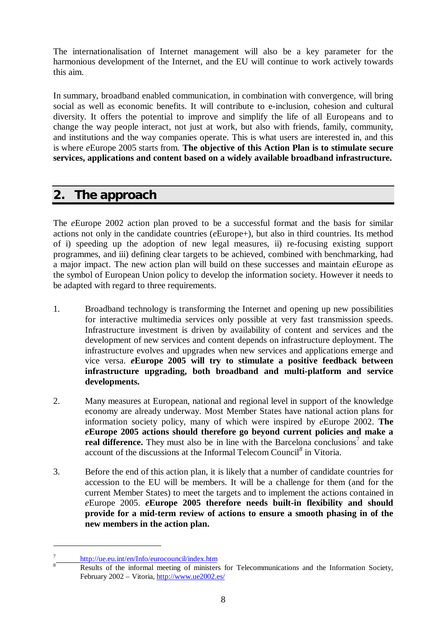The internationalisation of Internet management will also be a key parameter for the harmonious development of the Internet, and the EU will continue to work actively towards this aim.

In summary, broadband enabled communication, in combination with convergence, will bring social as well as economic benefits. It will contribute to e-inclusion, cohesion and cultural diversity. It offers the potential to improve and simplify the life of all Europeans and to change the way people interact, not just at work, but also with friends, family, community, and institutions and the way companies operate. This is what users are interested in, and this is where *e*Europe 2005 starts from. **The objective of this Action Plan is to stimulate secure services, applications and content based on a widely available broadband infrastructure.**

# **2. The approach**

The *e*Europe 2002 action plan proved to be a successful format and the basis for similar actions not only in the candidate countries (*e*Europe+), but also in third countries. Its method of i) speeding up the adoption of new legal measures, ii) re-focusing existing support programmes, and iii) defining clear targets to be achieved, combined with benchmarking, had a major impact. The new action plan will build on these successes and maintain *e*Europe as the symbol of European Union policy to develop the information society. However it needs to be adapted with regard to three requirements.

- 1. Broadband technology is transforming the Internet and opening up new possibilities for interactive multimedia services only possible at very fast transmission speeds. Infrastructure investment is driven by availability of content and services and the development of new services and content depends on infrastructure deployment. The infrastructure evolves and upgrades when new services and applications emerge and vice versa. *e***Europe 2005 will try to stimulate a positive feedback between infrastructure upgrading, both broadband and multi-platform and service developments.**
- 2. Many measures at European, national and regional level in support of the knowledge economy are already underway. Most Member States have national action plans for information society policy, many of which were inspired by *e*Europe 2002. **The** *e***Europe 2005 actions should therefore go beyond current policies and make a real difference.** They must also be in line with the Barcelona conclusions<sup>7</sup> and take account of the discussions at the Informal Telecom Council*<sup>8</sup>* in Vitoria.
- 3. Before the end of this action plan, it is likely that a number of candidate countries for accession to the EU will be members. It will be a challenge for them (and for the current Member States) to meet the targets and to implement the actions contained in *e*Europe 2005. *e***Europe 2005 therefore needs built-in flexibility and should provide for a mid-term review of actions to ensure a smooth phasing in of the new members in the action plan.**

<sup>7</sup> http://ue.eu.int/en/Info/eurocouncil/index.htm

<sup>8</sup> Results of the informal meeting of ministers for Telecommunications and the Information Society, February 2002 – Vitoria, http://www.ue2002.es/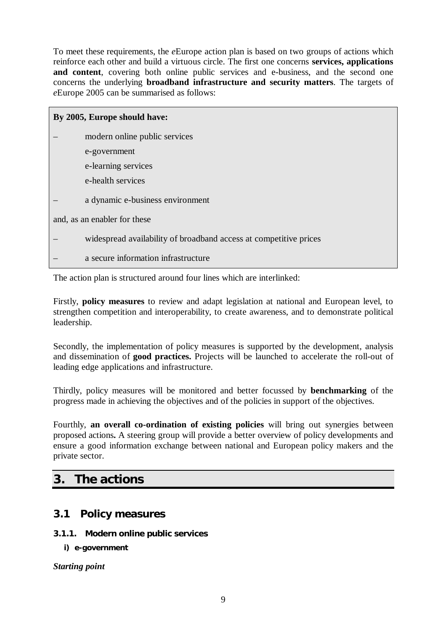To meet these requirements, the *e*Europe action plan is based on two groups of actions which reinforce each other and build a virtuous circle. The first one concerns **services, applications and content**, covering both online public services and e-business, and the second one concerns the underlying **broadband infrastructure and security matters**. The targets of *e*Europe 2005 can be summarised as follows:

| By 2005, Europe should have: |                                                                   |  |
|------------------------------|-------------------------------------------------------------------|--|
|                              | modern online public services                                     |  |
|                              | e-government                                                      |  |
|                              | e-learning services                                               |  |
|                              | e-health services                                                 |  |
|                              | a dynamic e-business environment                                  |  |
| and, as an enabler for these |                                                                   |  |
|                              | widespread availability of broadband access at competitive prices |  |
|                              | a secure information infrastructure                               |  |
|                              |                                                                   |  |

The action plan is structured around four lines which are interlinked:

Firstly, **policy measures** to review and adapt legislation at national and European level, to strengthen competition and interoperability, to create awareness, and to demonstrate political leadership.

Secondly, the implementation of policy measures is supported by the development, analysis and dissemination of **good practices.** Projects will be launched to accelerate the roll-out of leading edge applications and infrastructure.

Thirdly, policy measures will be monitored and better focussed by **benchmarking** of the progress made in achieving the objectives and of the policies in support of the objectives.

Fourthly, **an overall co-ordination of existing policies** will bring out synergies between proposed actions**.** A steering group will provide a better overview of policy developments and ensure a good information exchange between national and European policy makers and the private sector.

# **3. The actions**

# **3.1 Policy measures**

### **3.1.1. Modern online public services**

**i) e-government**

*Starting point*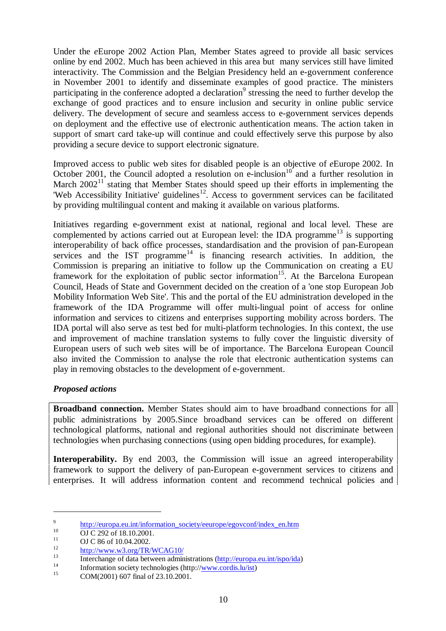Under the *e*Europe 2002 Action Plan, Member States agreed to provide all basic services online by end 2002. Much has been achieved in this area but many services still have limited interactivity. The Commission and the Belgian Presidency held an e-government conference in November 2001 to identify and disseminate examples of good practice. The ministers participating in the conference adopted a declaration<sup>9</sup> stressing the need to further develop the exchange of good practices and to ensure inclusion and security in online public service delivery. The development of secure and seamless access to e-government services depends on deployment and the effective use of electronic authentication means. The action taken in support of smart card take-up will continue and could effectively serve this purpose by also providing a secure device to support electronic signature.

Improved access to public web sites for disabled people is an objective of *e*Europe 2002. In October 2001, the Council adopted a resolution on  $e$ -inclusion<sup>10</sup> and a further resolution in March  $2002<sup>11</sup>$  stating that Member States should speed up their efforts in implementing the 'Web Accessibility Initiative' guidelines<sup>12</sup>. Access to government services can be facilitated by providing multilingual content and making it available on various platforms.

Initiatives regarding e-government exist at national, regional and local level. These are complemented by actions carried out at European level: the IDA programme<sup>13</sup> is supporting interoperability of back office processes, standardisation and the provision of pan-European services and the IST programme<sup>14</sup> is financing research activities. In addition, the Commission is preparing an initiative to follow up the Communication on creating a EU framework for the exploitation of public sector information<sup>15</sup>. At the Barcelona European Council, Heads of State and Government decided on the creation of a 'one stop European Job Mobility Information Web Site'. This and the portal of the EU administration developed in the framework of the IDA Programme will offer multi-lingual point of access for online information and services to citizens and enterprises supporting mobility across borders. The IDA portal will also serve as test bed for multi-platform technologies. In this context, the use and improvement of machine translation systems to fully cover the linguistic diversity of European users of such web sites will be of importance. The Barcelona European Council also invited the Commission to analyse the role that electronic authentication systems can play in removing obstacles to the development of e-government.

### *Proposed actions*

**Broadband connection.** Member States should aim to have broadband connections for all public administrations by 2005.Since broadband services can be offered on different technological platforms, national and regional authorities should not discriminate between technologies when purchasing connections (using open bidding procedures, for example).

**Interoperability.** By end 2003, the Commission will issue an agreed interoperability framework to support the delivery of pan-European e-government services to citizens and enterprises. It will address information content and recommend technical policies and

<sup>9</sup> http://europa.eu.int/information\_society/eeurope/egovconf/index\_en.htm

<sup>10</sup> **OJ C 292 of 18.10.2001**.

 $11$  OJ C 86 of 10.04.2002.

 $\frac{12}{13}$  http://www.w3.org/TR/WCAG10/

<sup>13</sup> Interchange of data between administrations  $(\frac{http://europa.eu.int/ispo/ida)}{l!}$ 

<sup>&</sup>lt;sup>14</sup> Information society technologies (http://<u>www.cordis.lu/ist</u>)

COM(2001) 607 final of 23.10.2001.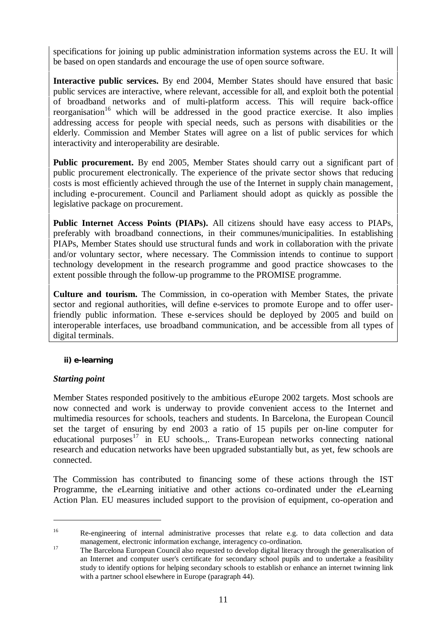specifications for joining up public administration information systems across the EU. It will be based on open standards and encourage the use of open source software.

**Interactive public services.** By end 2004, Member States should have ensured that basic public services are interactive, where relevant, accessible for all, and exploit both the potential of broadband networks and of multi-platform access. This will require back-office  $r_{\text{e}}$  reorganisation<sup>16</sup> which will be addressed in the good practice exercise. It also implies addressing access for people with special needs, such as persons with disabilities or the elderly. Commission and Member States will agree on a list of public services for which interactivity and interoperability are desirable.

**Public procurement.** By end 2005, Member States should carry out a significant part of public procurement electronically. The experience of the private sector shows that reducing costs is most efficiently achieved through the use of the Internet in supply chain management, including e-procurement. Council and Parliament should adopt as quickly as possible the legislative package on procurement.

**Public Internet Access Points (PIAPs).** All citizens should have easy access to PIAPs, preferably with broadband connections, in their communes/municipalities. In establishing PIAPs, Member States should use structural funds and work in collaboration with the private and/or voluntary sector, where necessary. The Commission intends to continue to support technology development in the research programme and good practice showcases to the extent possible through the follow-up programme to the PROMISE programme.

**Culture and tourism.** The Commission, in co-operation with Member States, the private sector and regional authorities, will define e-services to promote Europe and to offer userfriendly public information. These e-services should be deployed by 2005 and build on interoperable interfaces, use broadband communication, and be accessible from all types of digital terminals.

### **ii) e-learning**

### *Starting point*

 $\overline{a}$ 

Member States responded positively to the ambitious *e*Europe 2002 targets. Most schools are now connected and work is underway to provide convenient access to the Internet and multimedia resources for schools, teachers and students. In Barcelona, the European Council set the target of ensuring by end 2003 a ratio of 15 pupils per on-line computer for educational purposes<sup>17</sup> in EU schools... Trans-European networks connecting national research and education networks have been upgraded substantially but, as yet, few schools are connected.

The Commission has contributed to financing some of these actions through the IST Programme, the *e*Learning initiative and other actions co-ordinated under the *e*Learning Action Plan. EU measures included support to the provision of equipment, co-operation and

<sup>&</sup>lt;sup>16</sup> Re-engineering of internal administrative processes that relate e.g. to data collection and data management, electronic information exchange, interagency co-ordination.

<sup>&</sup>lt;sup>17</sup> The Barcelona European Council also requested to develop digital literacy through the generalisation of an Internet and computer user's certificate for secondary school pupils and to undertake a feasibility study to identify options for helping secondary schools to establish or enhance an internet twinning link with a partner school elsewhere in Europe (paragraph 44).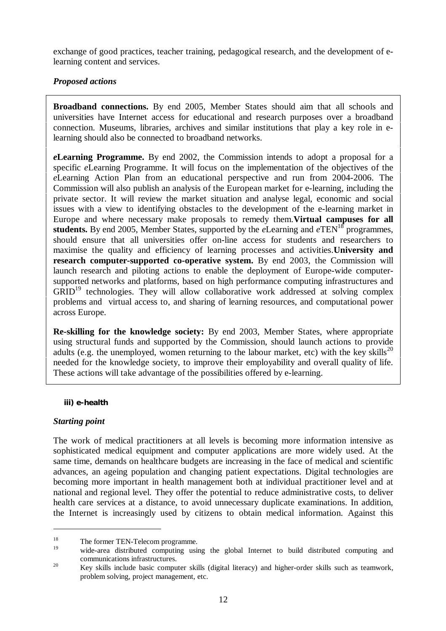exchange of good practices, teacher training, pedagogical research, and the development of elearning content and services.

# *Proposed actions*

**Broadband connections.** By end 2005, Member States should aim that all schools and universities have Internet access for educational and research purposes over a broadband connection. Museums, libraries, archives and similar institutions that play a key role in elearning should also be connected to broadband networks.

*e***Learning Programme.** By end 2002, the Commission intends to adopt a proposal for a specific *e*Learning Programme. It will focus on the implementation of the objectives of the *e*Learning Action Plan from an educational perspective and run from 2004-2006. The Commission will also publish an analysis of the European market for e-learning, including the private sector. It will review the market situation and analyse legal, economic and social issues with a view to identifying obstacles to the development of the e-learning market in Europe and where necessary make proposals to remedy them.**Virtual campuses for all** students. By end 2005, Member States, supported by the *eLearning and eTEN*<sup>18</sup> programmes, should ensure that all universities offer on-line access for students and researchers to maximise the quality and efficiency of learning processes and activities.**University and research computer-supported co-operative system.** By end 2003, the Commission will launch research and piloting actions to enable the deployment of Europe-wide computersupported networks and platforms, based on high performance computing infrastructures and  $GRID<sup>19</sup>$  technologies. They will allow collaborative work addressed at solving complex problems and virtual access to, and sharing of learning resources, and computational power across Europe.

**Re-skilling for the knowledge society:** By end 2003, Member States, where appropriate using structural funds and supported by the Commission, should launch actions to provide adults (e.g. the unemployed, women returning to the labour market, etc) with the key skills<sup>20</sup> needed for the knowledge society, to improve their employability and overall quality of life. These actions will take advantage of the possibilities offered by e-learning.

#### **iii) e-health**

### *Starting point*

 $\overline{a}$ 

The work of medical practitioners at all levels is becoming more information intensive as sophisticated medical equipment and computer applications are more widely used. At the same time, demands on healthcare budgets are increasing in the face of medical and scientific advances, an ageing population and changing patient expectations. Digital technologies are becoming more important in health management both at individual practitioner level and at national and regional level. They offer the potential to reduce administrative costs, to deliver health care services at a distance, to avoid unnecessary duplicate examinations. In addition, the Internet is increasingly used by citizens to obtain medical information. Against this

<sup>&</sup>lt;sup>18</sup> The former TEN-Telecom programme.

<sup>19</sup> wide-area distributed computing using the global Internet to build distributed computing and communications infrastructures.

<sup>&</sup>lt;sup>20</sup> Key skills include basic computer skills (digital literacy) and higher-order skills such as teamwork, problem solving, project management, etc.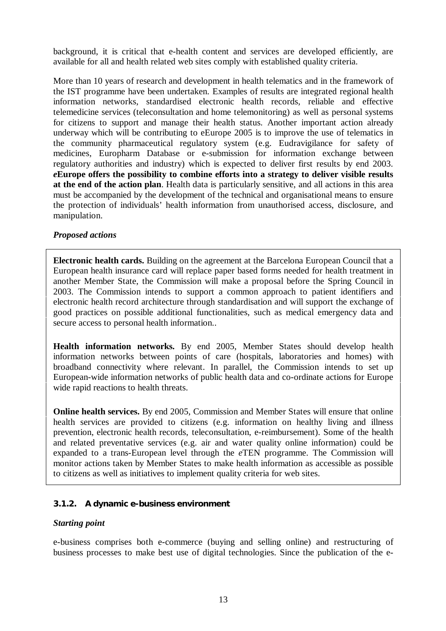background, it is critical that e-health content and services are developed efficiently, are available for all and health related web sites comply with established quality criteria.

More than 10 years of research and development in health telematics and in the framework of the IST programme have been undertaken. Examples of results are integrated regional health information networks, standardised electronic health records, reliable and effective telemedicine services (teleconsultation and home telemonitoring) as well as personal systems for citizens to support and manage their health status. Another important action already underway which will be contributing to eEurope 2005 is to improve the use of telematics in the community pharmaceutical regulatory system (e.g. Eudravigilance for safety of medicines, Europharm Database or e-submission for information exchange between regulatory authorities and industry) which is expected to deliver first results by end 2003. *e***Europe offers the possibility to combine efforts into a strategy to deliver visible results at the end of the action plan**. Health data is particularly sensitive, and all actions in this area must be accompanied by the development of the technical and organisational means to ensure the protection of individuals' health information from unauthorised access, disclosure, and manipulation.

#### *Proposed actions*

**Electronic health cards.** Building on the agreement at the Barcelona European Council that a European health insurance card will replace paper based forms needed for health treatment in another Member State, the Commission will make a proposal before the Spring Council in 2003. The Commission intends to support a common approach to patient identifiers and electronic health record architecture through standardisation and will support the exchange of good practices on possible additional functionalities, such as medical emergency data and secure access to personal health information..

**Health information networks.** By end 2005, Member States should develop health information networks between points of care (hospitals, laboratories and homes) with broadband connectivity where relevant. In parallel, the Commission intends to set up European-wide information networks of public health data and co-ordinate actions for Europe wide rapid reactions to health threats.

**Online health services.** By end 2005, Commission and Member States will ensure that online health services are provided to citizens (e.g. information on healthy living and illness prevention, electronic health records, teleconsultation, e-reimbursement). Some of the health and related preventative services (e.g. air and water quality online information) could be expanded to a trans-European level through the *e*TEN programme. The Commission will monitor actions taken by Member States to make health information as accessible as possible to citizens as well as initiatives to implement quality criteria for web sites.

### **3.1.2. A dynamic e-business environment**

#### *Starting point*

e-business comprises both e-commerce (buying and selling online) and restructuring of business processes to make best use of digital technologies. Since the publication of the e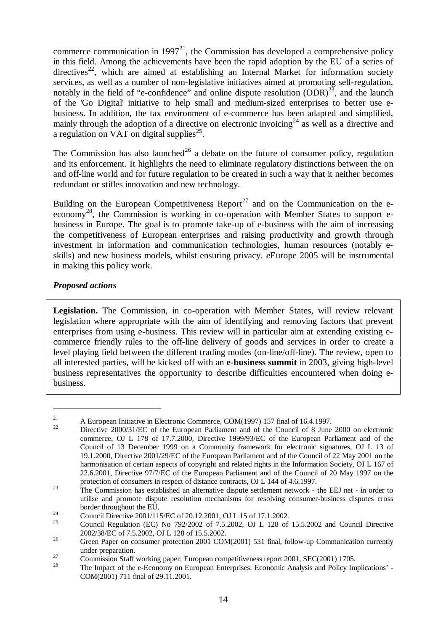commerce communication in 1997 $^{21}$ , the Commission has developed a comprehensive policy in this field. Among the achievements have been the rapid adoption by the EU of a series of  $directives<sup>22</sup>$ , which are aimed at establishing an Internal Market for information society services, as well as a number of non-legislative initiatives aimed at promoting self-regulation, notably in the field of "e-confidence" and online dispute resolution  $(DDR)^{23}$ , and the launch of the 'Go Digital' initiative to help small and medium-sized enterprises to better use ebusiness. In addition, the tax environment of e-commerce has been adapted and simplified, mainly through the adoption of a directive on electronic invoicing<sup>24</sup> as well as a directive and a regulation on VAT on digital supplies $^{25}$ .

The Commission has also launched<sup>26</sup> a debate on the future of consumer policy, regulation and its enforcement. It highlights the need to eliminate regulatory distinctions between the on and off-line world and for future regulation to be created in such a way that it neither becomes redundant or stifles innovation and new technology.

Building on the European Competitiveness Report<sup>27</sup> and on the Communication on the eeconomy<sup>28</sup>, the Commission is working in co-operation with Member States to support ebusiness in Europe. The goal is to promote take-up of e-business with the aim of increasing the competitiveness of European enterprises and raising productivity and growth through investment in information and communication technologies, human resources (notably eskills) and new business models, whilst ensuring privacy. *e*Europe 2005 will be instrumental in making this policy work.

# *Proposed actions*

 $\overline{a}$ 

Legislation. The Commission, in co-operation with Member States, will review relevant legislation where appropriate with the aim of identifying and removing factors that prevent enterprises from using e-business. This review will in particular aim at extending existing ecommerce friendly rules to the off-line delivery of goods and services in order to create a level playing field between the different trading modes (on-line/off-line). The review, open to all interested parties, will be kicked off with an **e-business summit** in 2003, giving high-level business representatives the opportunity to describe difficulties encountered when doing ebusiness.

<sup>&</sup>lt;sup>21</sup> A European Initiative in Electronic Commerce, COM(1997) 157 final of 16.4.1997.

<sup>22</sup> Directive 2000/31/EC of the European Parliament and of the Council of 8 June 2000 on electronic commerce, OJ L 178 of 17.7.2000, Directive 1999/93/EC of the European Parliament and of the Council of 13 December 1999 on a Community framework for electronic signatures, OJ L 13 of 19.1.2000, Directive 2001/29/EC of the European Parliament and of the Council of 22 May 2001 on the harmonisation of certain aspects of copyright and related rights in the Information Society, OJ L 167 of 22.6.2001, Directive 97/7/EC of the European Parliament and of the Council of 20 May 1997 on the protection of consumers in respect of distance contracts, OJ L 144 of 4.6.1997.

<sup>&</sup>lt;sup>23</sup> The Commission has established an alternative dispute settlement network - the EEJ net - in order to utilise and promote dispute resolution mechanisms for resolving consumer-business disputes cross border throughout the EU.

<sup>&</sup>lt;sup>24</sup> Council Directive 2001/115/EC of 20.12.2001, OJ L 15 of 17.1.2002.

<sup>25</sup> Council Regulation (EC) No 792/2002 of 7.5.2002, OJ L 128 of 15.5.2002 and Council Directive 2002/38/EC of 7.5.2002, OJ L 128 of 15.5.2002.

<sup>&</sup>lt;sup>26</sup> Green Paper on consumer protection 2001 COM(2001) 531 final, follow-up Communication currently under preparation.

<sup>&</sup>lt;sup>27</sup><br>Commission Staff working paper: European competitiveness report 2001, SEC(2001) 1705.<br>The Impect of the a Economy on European Enterprise: Economic Applyis and Policy Im

<sup>28</sup> The Impact of the e-Economy on European Enterprises: Economic Analysis and Policy Implications' - COM(2001) 711 final of 29.11.2001.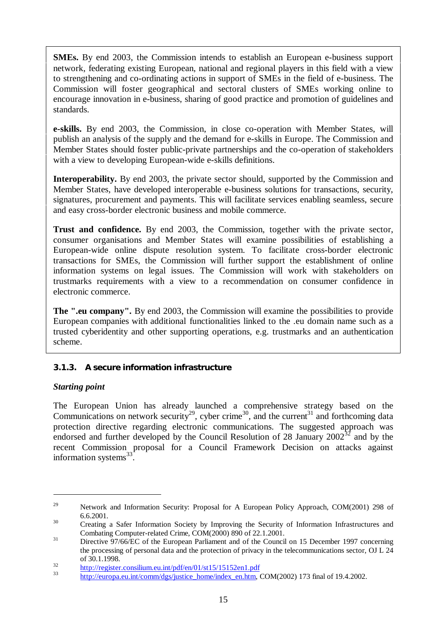**SMEs.** By end 2003, the Commission intends to establish an European e-business support network, federating existing European, national and regional players in this field with a view to strengthening and co-ordinating actions in support of SMEs in the field of e-business. The Commission will foster geographical and sectoral clusters of SMEs working online to encourage innovation in e-business, sharing of good practice and promotion of guidelines and standards.

**e-skills.** By end 2003, the Commission, in close co-operation with Member States, will publish an analysis of the supply and the demand for e-skills in Europe. The Commission and Member States should foster public-private partnerships and the co-operation of stakeholders with a view to developing European-wide e-skills definitions.

**Interoperability.** By end 2003, the private sector should, supported by the Commission and Member States, have developed interoperable e-business solutions for transactions, security, signatures, procurement and payments. This will facilitate services enabling seamless, secure and easy cross-border electronic business and mobile commerce.

**Trust and confidence.** By end 2003, the Commission, together with the private sector, consumer organisations and Member States will examine possibilities of establishing a European-wide online dispute resolution system. To facilitate cross-border electronic transactions for SMEs, the Commission will further support the establishment of online information systems on legal issues. The Commission will work with stakeholders on trustmarks requirements with a view to a recommendation on consumer confidence in electronic commerce.

**The ".eu company".** By end 2003, the Commission will examine the possibilities to provide European companies with additional functionalities linked to the .eu domain name such as a trusted cyberidentity and other supporting operations, e.g. trustmarks and an authentication scheme.

# **3.1.3. A secure information infrastructure**

### *Starting point*

 $\overline{a}$ 

The European Union has already launched a comprehensive strategy based on the Communications on network security<sup>29</sup>, cyber crime<sup>30</sup>, and the current<sup>31</sup> and forthcoming data protection directive regarding electronic communications. The suggested approach was endorsed and further developed by the Council Resolution of 28 January  $2002^{32}$  and by the recent Commission proposal for a Council Framework Decision on attacks against information systems<sup>33</sup>.

<sup>&</sup>lt;sup>29</sup> Network and Information Security: Proposal for A European Policy Approach, COM(2001) 298 of 6.6.2001.

<sup>&</sup>lt;sup>30</sup> Creating a Safer Information Society by Improving the Security of Information Infrastructures and Combating Computer-related Crime, COM(2000) 890 of 22.1.2001.

<sup>&</sup>lt;sup>31</sup> Directive 97/66/EC of the European Parliament and of the Council on 15 December 1997 concerning the processing of personal data and the protection of privacy in the telecommunications sector, OJ L 24 of 30.1.1998.

 $\frac{32}{33}$  http://register.consilium.eu.int/pdf/en/01/st15/15152en1.pdf

http://europa.eu.int/comm/dgs/justice\_home/index\_en.htm, COM(2002) 173 final of 19.4.2002.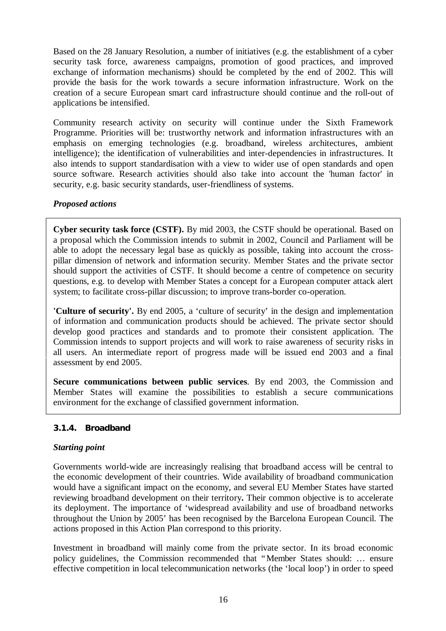Based on the 28 January Resolution, a number of initiatives (e.g. the establishment of a cyber security task force, awareness campaigns, promotion of good practices, and improved exchange of information mechanisms) should be completed by the end of 2002. This will provide the basis for the work towards a secure information infrastructure. Work on the creation of a secure European smart card infrastructure should continue and the roll-out of applications be intensified.

Community research activity on security will continue under the Sixth Framework Programme. Priorities will be: trustworthy network and information infrastructures with an emphasis on emerging technologies (e.g. broadband, wireless architectures, ambient intelligence); the identification of vulnerabilities and inter-dependencies in infrastructures. It also intends to support standardisation with a view to wider use of open standards and open source software. Research activities should also take into account the 'human factor' in security, e.g. basic security standards, user-friendliness of systems.

# *Proposed actions*

**Cyber security task force (CSTF).** By mid 2003, the CSTF should be operational. Based on a proposal which the Commission intends to submit in 2002, Council and Parliament will be able to adopt the necessary legal base as quickly as possible, taking into account the crosspillar dimension of network and information security. Member States and the private sector should support the activities of CSTF. It should become a centre of competence on security questions, e.g. to develop with Member States a concept for a European computer attack alert system; to facilitate cross-pillar discussion; to improve trans-border co-operation.

**'Culture of security'.** By end 2005, a 'culture of security' in the design and implementation of information and communication products should be achieved. The private sector should develop good practices and standards and to promote their consistent application. The Commission intends to support projects and will work to raise awareness of security risks in all users. An intermediate report of progress made will be issued end 2003 and a final assessment by end 2005.

**Secure communications between public services**. By end 2003, the Commission and Member States will examine the possibilities to establish a secure communications environment for the exchange of classified government information.

### **3.1.4. Broadband**

### *Starting point*

Governments world-wide are increasingly realising that broadband access will be central to the economic development of their countries. Wide availability of broadband communication would have a significant impact on the economy, and several EU Member States have started reviewing broadband development on their territory**.** Their common objective is to accelerate its deployment. The importance of 'widespread availability and use of broadband networks throughout the Union by 2005' has been recognised by the Barcelona European Council. The actions proposed in this Action Plan correspond to this priority.

Investment in broadband will mainly come from the private sector. In its broad economic policy guidelines, the Commission recommended that "Member States should: … ensure effective competition in local telecommunication networks (the 'local loop') in order to speed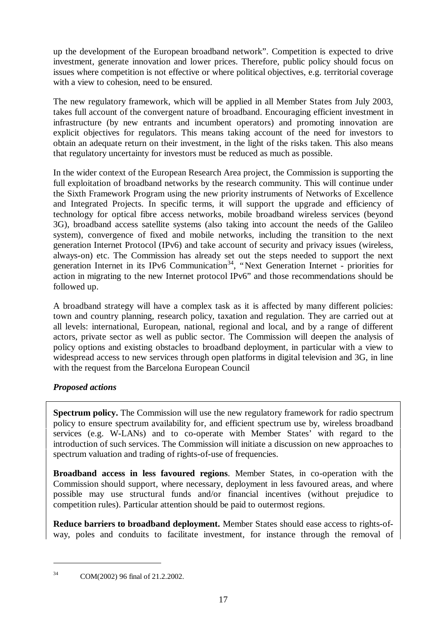up the development of the European broadband network". Competition is expected to drive investment, generate innovation and lower prices. Therefore, public policy should focus on issues where competition is not effective or where political objectives, e.g. territorial coverage with a view to cohesion, need to be ensured.

The new regulatory framework, which will be applied in all Member States from July 2003, takes full account of the convergent nature of broadband. Encouraging efficient investment in infrastructure (by new entrants and incumbent operators) and promoting innovation are explicit objectives for regulators. This means taking account of the need for investors to obtain an adequate return on their investment, in the light of the risks taken. This also means that regulatory uncertainty for investors must be reduced as much as possible.

In the wider context of the European Research Area project, the Commission is supporting the full exploitation of broadband networks by the research community. This will continue under the Sixth Framework Program using the new priority instruments of Networks of Excellence and Integrated Projects. In specific terms, it will support the upgrade and efficiency of technology for optical fibre access networks, mobile broadband wireless services (beyond 3G), broadband access satellite systems (also taking into account the needs of the Galileo system), convergence of fixed and mobile networks, including the transition to the next generation Internet Protocol (IPv6) and take account of security and privacy issues (wireless, always-on) etc. The Commission has already set out the steps needed to support the next generation Internet in its IPv6 Communication<sup>34</sup>, "Next Generation Internet - priorities for action in migrating to the new Internet protocol IPv6" and those recommendations should be followed up.

A broadband strategy will have a complex task as it is affected by many different policies: town and country planning, research policy, taxation and regulation. They are carried out at all levels: international, European, national, regional and local, and by a range of different actors, private sector as well as public sector. The Commission will deepen the analysis of policy options and existing obstacles to broadband deployment, in particular with a view to widespread access to new services through open platforms in digital television and 3G, in line with the request from the Barcelona European Council

# *Proposed actions*

**Spectrum policy.** The Commission will use the new regulatory framework for radio spectrum policy to ensure spectrum availability for, and efficient spectrum use by, wireless broadband services (e.g. W-LANs) and to co-operate with Member States' with regard to the introduction of such services. The Commission will initiate a discussion on new approaches to spectrum valuation and trading of rights-of-use of frequencies.

**Broadband access in less favoured regions**. Member States, in co-operation with the Commission should support, where necessary, deployment in less favoured areas, and where possible may use structural funds and/or financial incentives (without prejudice to competition rules). Particular attention should be paid to outermost regions.

**Reduce barriers to broadband deployment.** Member States should ease access to rights-ofway, poles and conduits to facilitate investment, for instance through the removal of

<sup>34</sup> COM(2002) 96 final of 21.2.2002.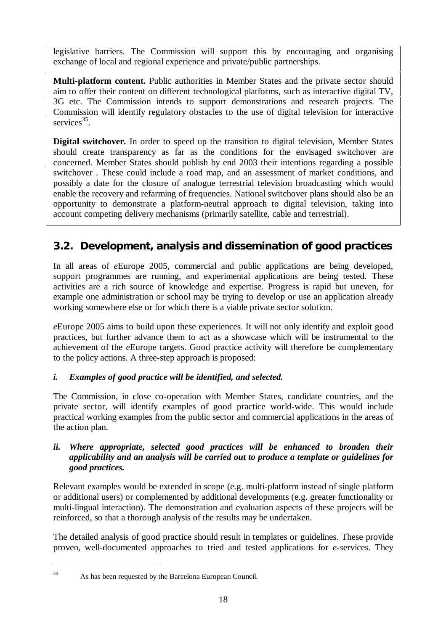legislative barriers. The Commission will support this by encouraging and organising exchange of local and regional experience and private/public partnerships.

**Multi-platform content.** Public authorities in Member States and the private sector should aim to offer their content on different technological platforms, such as interactive digital TV, 3G etc. The Commission intends to support demonstrations and research projects. The Commission will identify regulatory obstacles to the use of digital television for interactive services<sup>35</sup>.

**Digital switchover.** In order to speed up the transition to digital television, Member States should create transparency as far as the conditions for the envisaged switchover are concerned. Member States should publish by end 2003 their intentions regarding a possible switchover . These could include a road map, and an assessment of market conditions, and possibly a date for the closure of analogue terrestrial television broadcasting which would enable the recovery and refarming of frequencies. National switchover plans should also be an opportunity to demonstrate a platform-neutral approach to digital television, taking into account competing delivery mechanisms (primarily satellite, cable and terrestrial).

# **3.2. Development, analysis and dissemination of good practices**

In all areas of *e*Europe 2005, commercial and public applications are being developed, support programmes are running, and experimental applications are being tested. These activities are a rich source of knowledge and expertise. Progress is rapid but uneven, for example one administration or school may be trying to develop or use an application already working somewhere else or for which there is a viable private sector solution.

*e*Europe 2005 aims to build upon these experiences. It will not only identify and exploit good practices, but further advance them to act as a showcase which will be instrumental to the achievement of the *e*Europe targets. Good practice activity will therefore be complementary to the policy actions. A three-step approach is proposed:

# *i. Examples of good practice will be identified, and selected.*

The Commission, in close co-operation with Member States, candidate countries, and the private sector, will identify examples of good practice world-wide. This would include practical working examples from the public sector and commercial applications in the areas of the action plan.

### *ii. Where appropriate, selected good practices will be enhanced to broaden their applicability and an analysis will be carried out to produce a template or guidelines for good practices.*

Relevant examples would be extended in scope (e.g. multi-platform instead of single platform or additional users) or complemented by additional developments (e.g. greater functionality or multi-lingual interaction). The demonstration and evaluation aspects of these projects will be reinforced, so that a thorough analysis of the results may be undertaken.

The detailed analysis of good practice should result in templates or guidelines. These provide proven, well-documented approaches to tried and tested applications for *e-s*ervices. They

<sup>35</sup> As has been requested by the Barcelona European Council.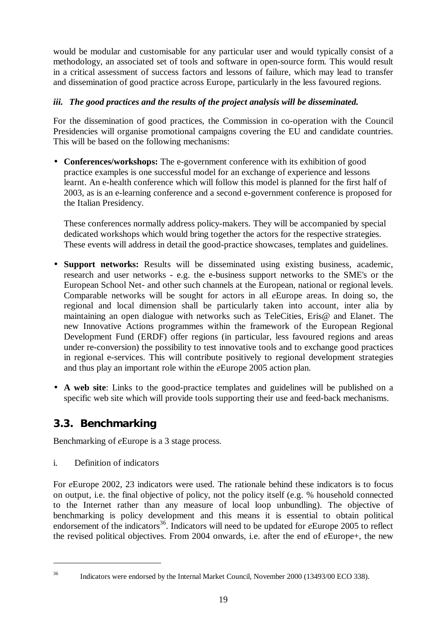would be modular and customisable for any particular user and would typically consist of a methodology, an associated set of tools and software in open-source form. This would result in a critical assessment of success factors and lessons of failure, which may lead to transfer and dissemination of good practice across Europe, particularly in the less favoured regions.

# *iii. The good practices and the results of the project analysis will be disseminated.*

For the dissemination of good practices, the Commission in co-operation with the Council Presidencies will organise promotional campaigns covering the EU and candidate countries. This will be based on the following mechanisms:

• **Conferences/workshops:** The e-government conference with its exhibition of good practice examples is one successful model for an exchange of experience and lessons learnt. An e-health conference which will follow this model is planned for the first half of 2003, as is an e-learning conference and a second e-government conference is proposed for the Italian Presidency.

These conferences normally address policy-makers. They will be accompanied by special dedicated workshops which would bring together the actors for the respective strategies. These events will address in detail the good-practice showcases, templates and guidelines.

- **Support networks:** Results will be disseminated using existing business, academic, research and user networks - e.g. the e-business support networks to the SME's or the European School Net- and other such channels at the European, national or regional levels. Comparable networks will be sought for actors in all *e*Europe areas. In doing so, the regional and local dimension shall be particularly taken into account, inter alia by maintaining an open dialogue with networks such as TeleCities, Eris@ and Elanet. The new Innovative Actions programmes within the framework of the European Regional Development Fund (ERDF) offer regions (in particular, less favoured regions and areas under re-conversion) the possibility to test innovative tools and to exchange good practices in regional e-services. This will contribute positively to regional development strategies and thus play an important role within the *e*Europe 2005 action plan.
- **A web site**: Links to the good-practice templates and guidelines will be published on a specific web site which will provide tools supporting their use and feed-back mechanisms.

# **3.3. Benchmarking**

Benchmarking of *e*Europe is a 3 stage process.

i. Definition of indicators

For *e*Europe 2002, 23 indicators were used. The rationale behind these indicators is to focus on output, i.e. the final objective of policy, not the policy itself (e.g. % household connected to the Internet rather than any measure of local loop unbundling). The objective of benchmarking is policy development and this means it is essential to obtain political endorsement of the indicators<sup>36</sup>. Indicators will need to be updated for *e*Europe 2005 to reflect the revised political objectives. From 2004 onwards, i.e. after the end of *e*Europe+, the new

 $\overline{a}$ 

<sup>&</sup>lt;sup>36</sup> Indicators were endorsed by the Internal Market Council, November 2000 (13493/00 ECO 338).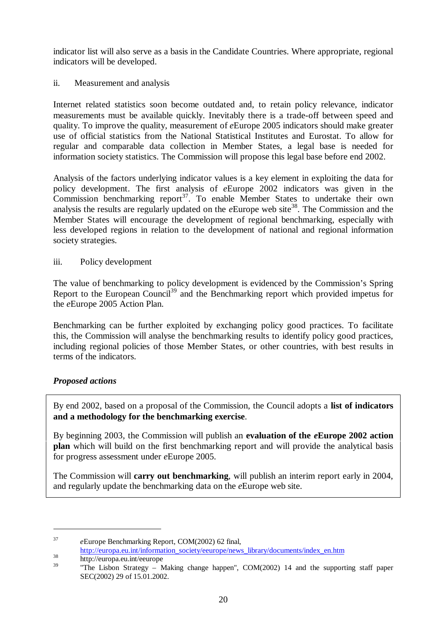indicator list will also serve as a basis in the Candidate Countries. Where appropriate, regional indicators will be developed.

ii. Measurement and analysis

Internet related statistics soon become outdated and, to retain policy relevance, indicator measurements must be available quickly. Inevitably there is a trade-off between speed and quality. To improve the quality, measurement of *e*Europe 2005 indicators should make greater use of official statistics from the National Statistical Institutes and Eurostat. To allow for regular and comparable data collection in Member States, a legal base is needed for information society statistics. The Commission will propose this legal base before end 2002.

Analysis of the factors underlying indicator values is a key element in exploiting the data for policy development. The first analysis of *e*Europe 2002 indicators was given in the Commission benchmarking report<sup>37</sup>. To enable Member States to undertake their own analysis the results are regularly updated on the  $e$ Europe web site<sup>38</sup>. The Commission and the Member States will encourage the development of regional benchmarking, especially with less developed regions in relation to the development of national and regional information society strategies.

iii. Policy development

The value of benchmarking to policy development is evidenced by the Commission's Spring Report to the European Council<sup>39</sup> and the Benchmarking report which provided impetus for the *e*Europe 2005 Action Plan.

Benchmarking can be further exploited by exchanging policy good practices. To facilitate this, the Commission will analyse the benchmarking results to identify policy good practices, including regional policies of those Member States, or other countries, with best results in terms of the indicators.

# *Proposed actions*

By end 2002, based on a proposal of the Commission, the Council adopts a **list of indicators and a methodology for the benchmarking exercise**.

By beginning 2003, the Commission will publish an **evaluation of the** *e***Europe 2002 action plan** which will build on the first benchmarking report and will provide the analytical basis for progress assessment under *e*Europe 2005.

The Commission will **carry out benchmarking**, will publish an interim report early in 2004, and regularly update the benchmarking data on the *e*Europe web site.

<sup>37</sup> *e*Europe Benchmarking Report, COM(2002) 62 final,

http://europa.eu.int/information\_society/eeurope/news\_library/documents/index\_en.htm

 $\frac{38}{39}$  http://europa.eu.int/eeurope

<sup>&</sup>quot;The Lisbon Strategy – Making change happen",  $COM(2002)$  14 and the supporting staff paper SEC(2002) 29 of 15.01.2002.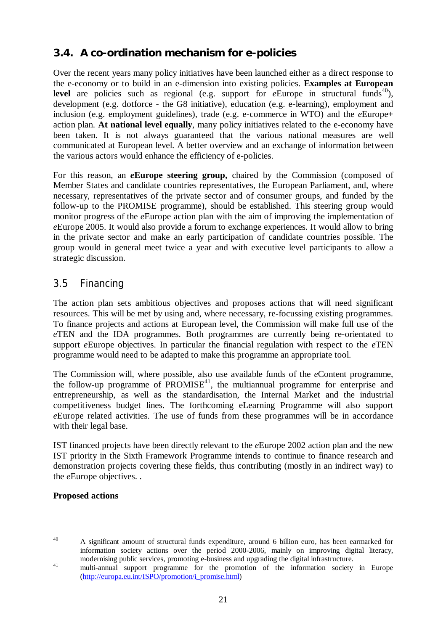# **3.4. A co-ordination mechanism for e-policies**

Over the recent years many policy initiatives have been launched either as a direct response to the e-economy or to build in an e-dimension into existing policies. **Examples at European level** are policies such as regional (e.g. support for  $e^{\text{European}}$  in structural funds<sup>40</sup>), development (e.g. dotforce - the G8 initiative), education (e.g. e-learning), employment and inclusion (e.g. employment guidelines), trade (e.g. e-commerce in WTO) and the *e*Europe+ action plan. **At national level equally**, many policy initiatives related to the e-economy have been taken. It is not always guaranteed that the various national measures are well communicated at European level. A better overview and an exchange of information between the various actors would enhance the efficiency of e-policies.

For this reason, an *e***Europe steering group,** chaired by the Commission (composed of Member States and candidate countries representatives, the European Parliament, and, where necessary, representatives of the private sector and of consumer groups, and funded by the follow-up to the PROMISE programme), should be established. This steering group would monitor progress of the *e*Europe action plan with the aim of improving the implementation of *e*Europe 2005. It would also provide a forum to exchange experiences. It would allow to bring in the private sector and make an early participation of candidate countries possible. The group would in general meet twice a year and with executive level participants to allow a strategic discussion.

# 3.5 Financing

The action plan sets ambitious objectives and proposes actions that will need significant resources. This will be met by using and, where necessary, re-focussing existing programmes. To finance projects and actions at European level, the Commission will make full use of the *e*TEN and the IDA programmes. Both programmes are currently being re-orientated to support *e*Europe objectives. In particular the financial regulation with respect to the *e*TEN programme would need to be adapted to make this programme an appropriate tool.

The Commission will, where possible, also use available funds of the *e*Content programme, the follow-up programme of  $PROMISE<sup>41</sup>$ , the multiannual programme for enterprise and entrepreneurship, as well as the standardisation, the Internal Market and the industrial competitiveness budget lines. The forthcoming eLearning Programme will also support *e*Europe related activities. The use of funds from these programmes will be in accordance with their legal base.

IST financed projects have been directly relevant to the *e*Europe 2002 action plan and the new IST priority in the Sixth Framework Programme intends to continue to finance research and demonstration projects covering these fields, thus contributing (mostly in an indirect way) to the *e*Europe objectives. .

# **Proposed actions**

<sup>40</sup> A significant amount of structural funds expenditure, around 6 billion euro, has been earmarked for information society actions over the period 2000-2006, mainly on improving digital literacy, modernising public services, promoting e-business and upgrading the digital infrastructure.

<sup>&</sup>lt;sup>41</sup> multi-annual support programme for the promotion of the information society in Europe (http://europa.eu.int/ISPO/promotion/i\_promise.html)